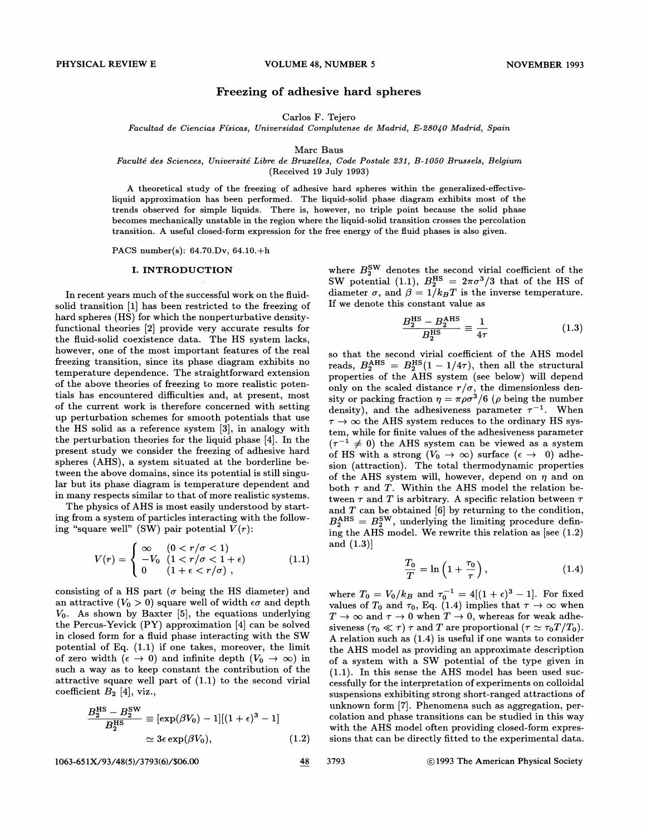## Freezing of adhesive hard spheres

Carlos F. Tejero

Facultad de Ciencias Físicas, Universidad Complutense de Madrid, E-28040 Madrid, Spain

#### Mare Baus

# Faculte des Sciences, Universite Libre de Bruzelles, Code Postale 282, B-1050 Brussels, Belgium

(Received 19 July 1993)

A theoretical study of the freezing of adhesive hard spheres within the generalized-effectiveliquid approximation has been performed. The liquid-solid phase diagram exhibits most of the trends observed for simple liquids. There is, however, no triple point because the solid phase becomes mechanically unstable in the region where the liquid-solid transition crosses the percolation transition. A useful closed-form expression for the free energy of the fluid phases is also given.

PACS number(s): 64.70.Dv, 64.10.+h

#### I. INTRODUCTION

In recent years much of the successful work on the fluidsolid transition [1] has been restricted to the freezing of hard spheres (HS) for which the nonperturbative densityfunctional theories [2] provide very accurate results for the fluid-solid coexistence data. The HS system lacks, however, one of the most important features of the real freezing transition, since its phase diagram exhibits no temperature dependence. The straightforward extension of the above theories of freezing to more realistic potentials has encountered difficulties and, at present, most of the current work is therefore concerned with setting up perturbation schemes for smooth potentials that use the HS solid as a reference system [3], in analogy with the perturbation theories for the liquid phase [4]. In the present study we consider the freezing of adhesive hard spheres (AHS), a system situated at the borderline between the above domains, since its potential is still singular but its phase diagram is temperature dependent and in many respects similar to that of more realistic systems.

The physics of AHS is most easily understood by starting from a system of particles interacting with the following "square well" (SW) pair potential  $V(r)$ :

$$
V(r) = \begin{cases} \infty & (0 < r/\sigma < 1) \\ -V_0 & (1 < r/\sigma < 1 + \epsilon) \\ 0 & (1 + \epsilon < r/\sigma) \end{cases}
$$
 (1.1)

consisting of a HS part ( $\sigma$  being the HS diameter) and an attractive  $(V_0 > 0)$  square well of width  $\epsilon \sigma$  and depth  $V_0$ . As shown by Baxter [5], the equations underlying the Percus-Yevick (PY) approximation [4] can be solved in closed form for a fluid phase interacting with the SW potential of Eq. (1.1) if one takes, moreover, the limit of zero width  $(\epsilon \to 0)$  and infinite depth  $(V_0 \to \infty)$  in such a way as to keep constant the contribution of the coefficient  $B_2$  [4], viz.,

attractive square well part of (1.1) to the second virial coefficient 
$$
B_2
$$
 [4], viz.,  
\n
$$
\frac{B_2^{\text{HS}} - B_2^{\text{SW}}}{B_2^{\text{HS}}} \equiv [\exp(\beta V_0) - 1][(1 + \epsilon)^3 - 1]
$$
\n
$$
\simeq 3\epsilon \exp(\beta V_0), \qquad (1.2)
$$

1063-651X/93/48(5)/3793(6)/\$06.00 3793 3793 3793 3793 3793 3793 3793 38 3793 38 3793 300 31993 The American Physical Society

where  $B_2^{\text{SW}}$  denotes the second virial coefficient of the SW potential (1.1),  $B_2^{\text{HS}} = 2\pi\sigma^3/3$  that of the HS of diameter  $\sigma$ , and  $\beta = 1/k_BT$  is the inverse temperature. If we denote this constant value as

$$
\frac{B_2^{\text{HS}} - B_2^{\text{AHS}}}{B_2^{\text{HS}}} \equiv \frac{1}{4\tau} \tag{1.3}
$$

so that the second virial coefficient of the AHS model<br>reads,  $B_2^{\text{AHS}} = B_2^{\text{HS}}(1 - 1/4\tau)$ , then all the structural  $\alpha$  properties of the AHS system (see below) will depend only on the scaled distance  $r/\sigma$ , the dimensionless density or packing fraction  $\eta = \pi \rho \sigma^3 / 6$  ( $\rho$  being the number density), and the adhesiveness parameter  $\tau^{-1}$ . When  $\tau \rightarrow \infty$  the AHS system reduces to the ordinary HS system, while for finite values of the adhesiveness parameter  $(\tau^{-1} \neq 0)$  the AHS system can be viewed as a system of HS with a strong  $(V_0 \rightarrow \infty)$  surface  $(\epsilon \rightarrow 0)$  adhesion (attraction). The total thermodynamic properties of the AHS system will, however, depend on  $\eta$  and on both  $\tau$  and  $T$ . Within the AHS model the relation between  $\tau$  and  $T$  is arbitrary. A specific relation between  $\tau$ and T can be obtained [6] by returning to the condition,<br> $B_2^{\text{AHS}} = B_2^{\text{SW}}$ , underlying the limiting procedure defining the AHS model. We rewrite this relation as [see (1.2) and (1.3)]

$$
\frac{T_0}{T} = \ln\left(1 + \frac{\tau_0}{\tau}\right),\tag{1.4}
$$

where  $T_0 = V_0/k_B$  and  $\tau_0^{-1} = 4[(1 + \epsilon)^3 - 1]$ . For fixed values of  $T_0$  and  $\tau_0$ , Eq. (1.4) implies that  $\tau \to \infty$  when  $T \to \infty$  and  $\tau \to 0$  when  $T \to 0$ , whereas for weak adhesiveness ( $\tau_0 \ll \tau$ )  $\tau$  and T are proportional ( $\tau \simeq \tau_0 T/T_0$ ). A relation such as (1.4) is useful if one wants to consider the AHS model as providing an approximate description of a system with a SW potential of the type given in (1.1). In this sense the AHS model has been used successfully for the interpretation of experiments on colloidal suspensions exhibiting strong short-ranged attractions of unknown form [7]. Phenomena such as aggregation, percolation and phase transitions can be studied in this way with the AHS model often providing closed-form expressions that can be directly fitted to the experimental data.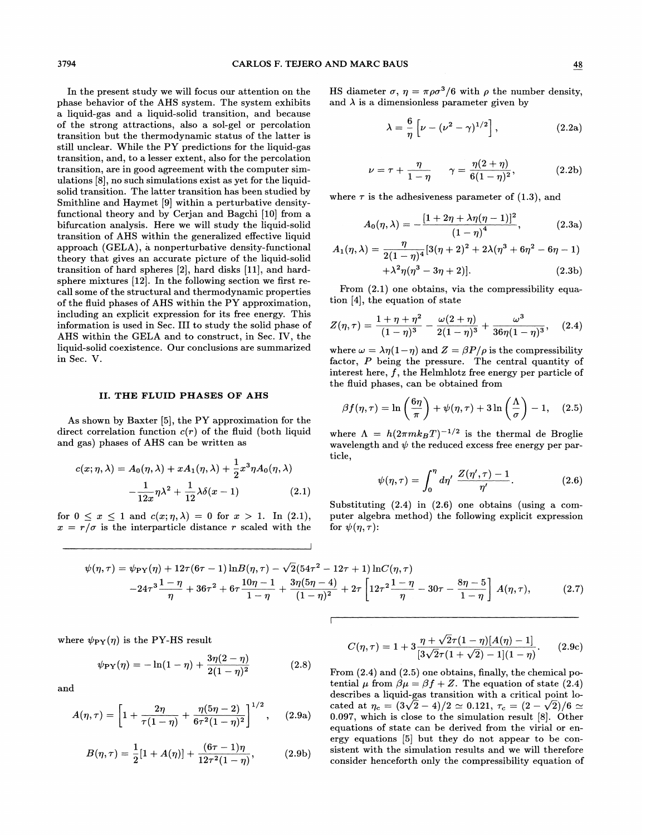In the present study we will focus our attention on the phase behavior of the AHS system. The system exhibits a liquid-gas and a liquid-solid transition, and because of the strong attractions, also a sol-gel or percolation transition but the thermodynamic status of the latter is still unclear. While the PY predictions for the liquid-gas transition, and, to a lesser extent, also for the percolation transition, are in good agreement with the computer simulations [8], no such simulations exist as yet for the liquidsolid transition. The latter transition has been studied by Smithline and Haymet [9] within a perturbative densityfunctional theory and by Cerjan and Bagchi [10] from a bifurcation analysis. Here we will study the liquid-solid transition of AHS within the generalized effective liquid approach (GELA), a nonperturbative density-functional theory that gives an accurate picture of the liquid-solid transition of hard spheres  $[2]$ , hard disks  $[11]$ , and hardsphere mixtures [12]. In the following section we first recall some of the structural and thermodynamic properties of the fluid phases of AHS within the PY approximation, including an explicit expression for its free energy. This information is used in Sec. III to study the solid phase of AHS within the GELA and to construct, in Sec. IV, the liquid-solid coexistence. Our conclusions are summarized in Sec. V.

#### II. THE FLUID PHASES OF AHS

As shown by Baxter [5], the PY approximation for the direct correlation function  $c(r)$  of the fluid (both liquid and gas) phases of AHS can be written as

$$
c(x; \eta, \lambda) = A_0(\eta, \lambda) + xA_1(\eta, \lambda) + \frac{1}{2}x^3 \eta A_0(\eta, \lambda)
$$

$$
-\frac{1}{12x} \eta \lambda^2 + \frac{1}{12} \lambda \delta(x - 1) \tag{2.1}
$$

for  $0 \le x \le 1$  and  $c(x; \eta, \lambda) = 0$  for  $x > 1$ . In (2.1),  $x = r/\sigma$  is the interparticle distance r scaled with the HS diameter  $\sigma$ ,  $\eta = \pi \rho \sigma^3/6$  with  $\rho$  the number density, and  $\lambda$  is a dimensionless parameter given by

$$
\lambda = \frac{6}{\eta} \left[ \nu - (\nu^2 - \gamma)^{1/2} \right],\tag{2.2a}
$$

$$
\nu = \tau + \frac{\eta}{1 - \eta} \qquad \gamma = \frac{\eta(2 + \eta)}{6(1 - \eta)^2},
$$
 (2.2b)

where  $\tau$  is the adhesiveness parameter of (1.3), and

$$
A_0(\eta, \lambda) = -\frac{[1 + 2\eta + \lambda \eta (\eta - 1)]^2}{(1 - \eta)^4}, \qquad (2.3a)
$$

$$
A_1(\eta, \lambda) = \frac{\eta}{2(1-\eta)^4} [3(\eta+2)^2 + 2\lambda(\eta^3 + 6\eta^2 - 6\eta - 1) + \lambda^2 \eta(\eta^3 - 3\eta + 2)].
$$
\n(2.3b)

From (2.1) one obtains, via the compressibility equation [4], the equation of state

$$
Z(\eta,\tau) = \frac{1+\eta+\eta^2}{(1-\eta)^3} - \frac{\omega(2+\eta)}{2(1-\eta)^3} + \frac{\omega^3}{36\eta(1-\eta)^3}, \quad (2.4)
$$

where  $\omega = \lambda \eta (1 - \eta)$  and  $Z = \beta P/\rho$  is the compressibility factor, P being the pressure. The central quantity of interest here, f, the Helmhlotz free energy per particle of the fluid phases, can be obtained from

$$
\beta f(\eta, \tau) = \ln\left(\frac{6\eta}{\pi}\right) + \psi(\eta, \tau) + 3\ln\left(\frac{\Lambda}{\sigma}\right) - 1, \quad (2.5)
$$

where  $\Lambda = h(2\pi mk_BT)^{-1/2}$  is the thermal de Broglie wavelength and  $\psi$  the reduced excess free energy per particle,

$$
\psi(\eta,\tau) = \int_0^{\eta} d\eta' \frac{Z(\eta',\tau) - 1}{\eta'}.
$$
 (2.6)

Substituting (2.4) in (2.6) one obtains (using a computer algebra method) the following explicit expression for  $\psi(\eta, \tau)$ :

$$
\psi(\eta,\tau) = \psi_{\text{PY}}(\eta) + 12\tau (6\tau - 1) \ln B(\eta,\tau) - \sqrt{2}(54\tau^2 - 12\tau + 1) \ln C(\eta,\tau) - 24\tau^3 \frac{1 - \eta}{\eta} + 36\tau^2 + 6\tau \frac{10\eta - 1}{1 - \eta} + \frac{3\eta(5\eta - 4)}{(1 - \eta)^2} + 2\tau \left[12\tau^2 \frac{1 - \eta}{\eta} - 30\tau - \frac{8\eta - 5}{1 - \eta}\right] A(\eta,\tau),
$$
(2.7)

where  $\psi_{\text{PY}}(\eta)$  is the PY-HS result

$$
\psi_{\rm PY}(\eta) = -\ln(1-\eta) + \frac{3\eta(2-\eta)}{2(1-\eta)^2}
$$
 (2.8)

and

ere 
$$
\psi_{\text{PY}}(\eta)
$$
 is the PY-HS result  
\n
$$
\psi_{\text{PY}}(\eta) = -\ln(1-\eta) + \frac{3\eta(2-\eta)}{2(1-\eta)^2}
$$
(2.8)  
\n1  
\n
$$
A(\eta, \tau) = \left[1 + \frac{2\eta}{\tau(1-\eta)} + \frac{\eta(5\eta-2)}{6\tau^2(1-\eta)^2}\right]^{1/2},
$$
(2.9a)

$$
B(\eta,\tau) = \frac{1}{2}[1 + A(\eta)] + \frac{(6\tau - 1)\eta}{12\tau^2(1-\eta)},
$$
 (2.9b)

$$
C(\eta,\tau) = 1 + 3\frac{\eta + \sqrt{2}\tau(1-\eta)[A(\eta) - 1]}{[3\sqrt{2}\tau(1+\sqrt{2}) - 1](1-\eta)}.
$$
 (2.9c)

From (2.4) and (2.5) one obtains, finally, the chemical potential  $\mu$  from  $\beta \mu = \beta f + Z$ . The equation of state (2.4) describes a liquid-gas transition with a critical point located at  $\eta_c = (3\sqrt{2} - 4)/2 \simeq 0.121, \tau_c = (2 - \sqrt{2})/6 \simeq$ 0.097, which is close to the simulation result [8]. Other equations of state can be derived from the virial or energy equations [5] but they do not appear to be consistent with the simulation results and we will therefore consider henceforth only the compressibility equation of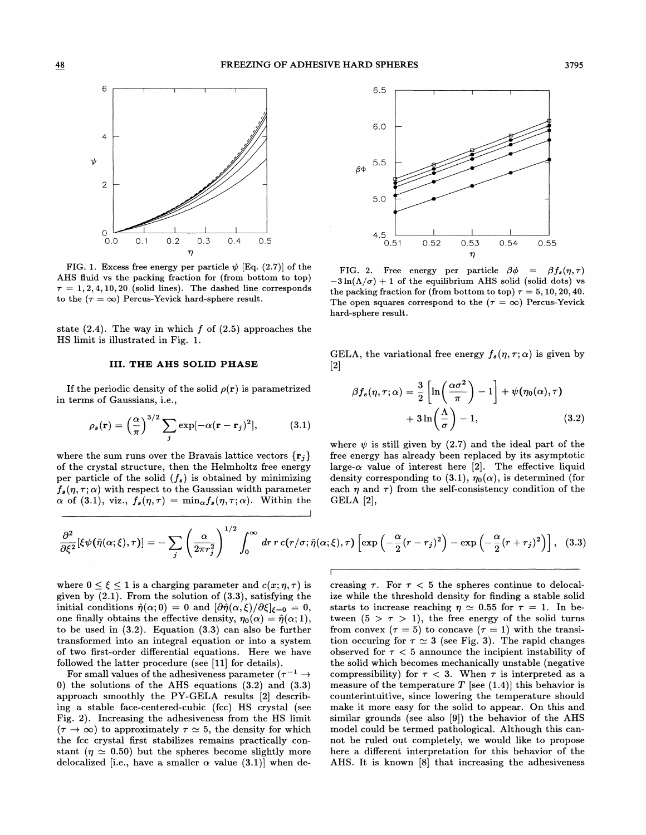

FIG. 1. Excess free energy per particle  $\psi$  [Eq. (2.7)] of the AHS fluid vs the packing fraction for (from bottom to top)  $\tau = 1, 2, 4, 10, 20$  (solid lines). The dashed line corresponds to the  $(\tau = \infty)$  Percus-Yevick hard-sphere result.

state  $(2.4)$ . The way in which f of  $(2.5)$  approaches the HS limit is illustrated in Fig. 1.

## III. THE AHS SOLID PHASE

If the periodic density of the solid  $\rho(\mathbf{r})$  is parametrized in terms of Gaussians, i.e.,

$$
\rho_s(\mathbf{r}) = \left(\frac{\alpha}{\pi}\right)^{3/2} \sum_j \exp[-\alpha(\mathbf{r} - \mathbf{r}_j)^2], \quad (3.1)
$$

where the sum runs over the Bravais lattice vectors  $\{r_i\}$ of the crystal structure, then the Helmholtz free energy per particle of the solid  $(f_s)$  is obtained by minimizing  $f_s(\eta, \tau; \alpha)$  with respect to the Gaussian width parameter  $\alpha$  of (3.1), viz.,  $f_s(\eta, \tau) = \min_{\alpha} f_s(\eta, \tau; \alpha)$ . Within the



FIG. 2. Free energy per particle  $\beta \phi = \beta f_s(\eta, \tau)$ <br>-3 ln( $\Lambda/\sigma$ ) + 1 of the equilibrium AHS solid (solid dots) vs the packing fraction for (from bottom to top)  $\tau = 5, 10, 20, 40$ . The open squares correspond to the  $(\tau = \infty)$  Percus-Yevick hard-sphere result.

GELA, the variational free energy  $f_s(\eta, \tau; \alpha)$  is given by [2]

$$
\beta f_s(\eta, \tau; \alpha) = \frac{3}{2} \left[ \ln \left( \frac{\alpha \sigma^2}{\pi} \right) - 1 \right] + \psi(\eta_0(\alpha), \tau) + 3 \ln \left( \frac{\Lambda}{\sigma} \right) - 1, \tag{3.2}
$$

where  $\psi$  is still given by (2.7) and the ideal part of the free energy has already been replaced by its asymptotic large- $\alpha$  value of interest here [2]. The effective liquid density corresponding to (3.1),  $\eta_0(\alpha)$ , is determined (for each  $\eta$  and  $\tau$ ) from the self-consistency condition of the GELA [2],

$$
\frac{\partial^2}{\partial \xi^2}[\xi\psi(\hat{\eta}(\alpha;\xi),\tau)] = -\sum_j \left(\frac{\alpha}{2\pi r_j^2}\right)^{1/2} \int_0^\infty dr \, r \, c(r/\sigma; \hat{\eta}(\alpha;\xi),\tau) \left[\exp\left(-\frac{\alpha}{2}(r-r_j)^2\right) - \exp\left(-\frac{\alpha}{2}(r+r_j)^2\right)\right], \tag{3.3}
$$

where  $0 \leq \xi \leq 1$  is a charging parameter and  $c(x; \eta, \tau)$  is given by  $(2.1)$ . From the solution of  $(3.3)$ , satisfying the initial conditions  $\hat{\eta}(\alpha; 0) = 0$  and  $[\partial \hat{\eta}(\alpha,\xi)/\partial \xi]_{\xi=0} = 0$ , one finally obtains the effective density,  $\eta_0(\alpha) = \hat{\eta}(\alpha; 1)$ , to be used in (3.2). Equation (3.3) can also be further transformed into an integral equation or into a system of two first-order differential equations. Here we have followed the latter procedure (see [11] for details).

For small values of the adhesiveness parameter ( $\tau^{-1} \rightarrow$ 0) the solutions of the AHS equations (3.2) and (3.3) approach smoothly the PY-GELA results [2] describing a stable face-centered-cubic (fcc) HS crystal (see Fig. 2). Increasing the adhesiveness from the HS limit  $(\tau \to \infty)$  to approximately  $\tau \simeq 5$ , the density for which the fcc crystal first stabilizes remains practically constant ( $\eta \simeq 0.50$ ) but the spheres become slightly more delocalized [i.e., have a smaller  $\alpha$  value (3.1)] when decreasing  $\tau$ . For  $\tau < 5$  the spheres continue to delocalize while the threshold density for finding a stable solid starts to increase reaching  $\eta \simeq 0.55$  for  $\tau = 1$ . In between  $(5 > \tau > 1)$ , the free energy of the solid turns from convex ( $\tau = 5$ ) to concave ( $\tau = 1$ ) with the transition occuring for  $\tau \simeq 3$  (see Fig. 3). The rapid changes observed for  $\tau < 5$  announce the incipient instability of the solid which becomes mechanically unstable (negative compressibility) for  $\tau < 3$ . When  $\tau$  is interpreted as a measure of the temperature  $T$  [see (1.4)] this behavior is counterintuitive, since lowering the temperature should make it more easy for the solid to appear. On this and similar grounds (see also [9]) the behavior of the AHS model could be termed pathological. Although this cannot be ruled out completely, we would like to propose here a different interpretation for this behavior of the AHS. It is known [8] that increasing the adhesiveness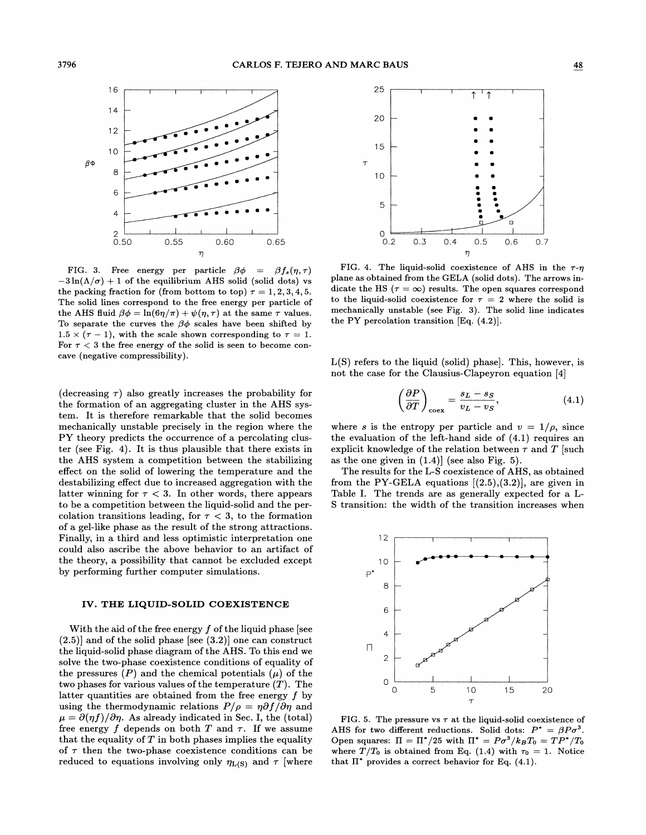

FIG. 3. Free energy per particle  $\beta \phi = \beta f_s(\eta, \tau)$  - 3ln( $\Lambda/\sigma$ ) + 1 of the equilibrium AHS solid (solid dots) vs the packing fraction for (from bottom to top)  $\tau = 1, 2, 3, 4, 5$ . The solid lines correspond to the free energy per particle of the AHS fluid  $\beta \phi = \ln(6\eta/\pi) + \psi(\eta, \tau)$  at the same  $\tau$  values. To separate the curves the  $\beta\phi$  scales have been shifted by  $1.5 \times (\tau - 1)$ , with the scale shown corresponding to  $\tau = 1$ . For  $\tau$  < 3 the free energy of the solid is seen to become concave (negative compressibility).

(decreasing  $\tau$ ) also greatly increases the probability for the formation of an aggregating cluster in the AHS system. It is therefore remarkable that the solid becomes mechanically unstable precisely in the region where the PY theory predicts the occurrence of a percolating cluster (see Fig. 4). It is thus plausible that there exists in the AHS system a competition between the stabilizing effect on the solid of lowering the temperature and the destabilizing effect due to increased aggregation with the latter winning for  $\tau < 3$ . In other words, there appears to be a competition between the liquid-solid and the percolation transitions leading, for  $\tau < 3$ , to the formation of a gel-like phase as the result of the strong attractions. Finally, in a third and less optimistic interpretation one could also ascribe the above behavior to an artifact of the theory, a possibility that cannot be excluded except by performing further computer simulations.

#### IV. THE LIQUID-SOLID COEXISTENCE

With the aid of the free energy  $f$  of the liquid phase [see  $(2.5)$ ] and of the solid phase [see  $(3.2)$ ] one can construct the liquid-solid phase diagram of the AHS. To this end we solve the two-phase coexistence conditions of equality of the pressures  $(P)$  and the chemical potentials  $(\mu)$  of the two phases for various values of the temperature  $(T)$ . The latter quantities are obtained from the free energy  $f$  by using the thermodynamic relations  $P/\rho = \eta \partial f/\partial \eta$  and  $\mu = \partial(\eta f)/\partial \eta$ . As already indicated in Sec. I, the (total) free energy f depends on both  $T$  and  $\tau$ . If we assume that the equality of  $T$  in both phases implies the equality of  $\tau$  then the two-phase coexistence conditions can be reduced to equations involving only  $\eta_{L(S)}$  and  $\tau$  [where



FIG. 4. The liquid-solid coexistence of AHS in the  $\tau$ - $\eta$ plane as obtained from the GELA (solid dots). The arrows indicate the HS ( $\tau = \infty$ ) results. The open squares correspond to the liquid-solid coexistence for  $\tau = 2$  where the solid is mechanically unstable (see Fig. 3). The solid line indicates the PY percolation transition [Eq. (4.2)].

 $L(S)$  refers to the liquid (solid) phase. This, however, is not the case for the Clausius-Clapeyron equation [4]

$$
\left(\frac{\partial P}{\partial T}\right)_{\text{coex}} = \frac{s_L - s_S}{v_L - v_S},\tag{4.1}
$$

where s is the entropy per particle and  $v = 1/\rho$ , since the evaluation of the left-hand side of (4.1) requires an explicit knowledge of the relation between  $\tau$  and  $T$  [such as the one given in  $(1.4)$  (see also Fig. 5).

The results for the L-S coexistence of AHS, as obtained from the PY-GELA equations  $[(2.5),(3.2)]$ , are given in Table I. The trends are as generally expected for a L-S transition: the width of the transition increases when



FIG. 5. The pressure vs  $\tau$  at the liquid-solid coexistence of AHS for two different reductions. Solid dots:  $P^* = \beta P \sigma^3$ . Open squares:  $\Pi = \Pi^*/25$  with  $\Pi^* = P\sigma^3/k_B T_0 = T P^*/T_0$ where  $T/T_0$  is obtained from Eq. (1.4) with  $\tau_0 = 1$ . Notice that  $\Pi^*$  provides a correct behavior for Eq. (4.1).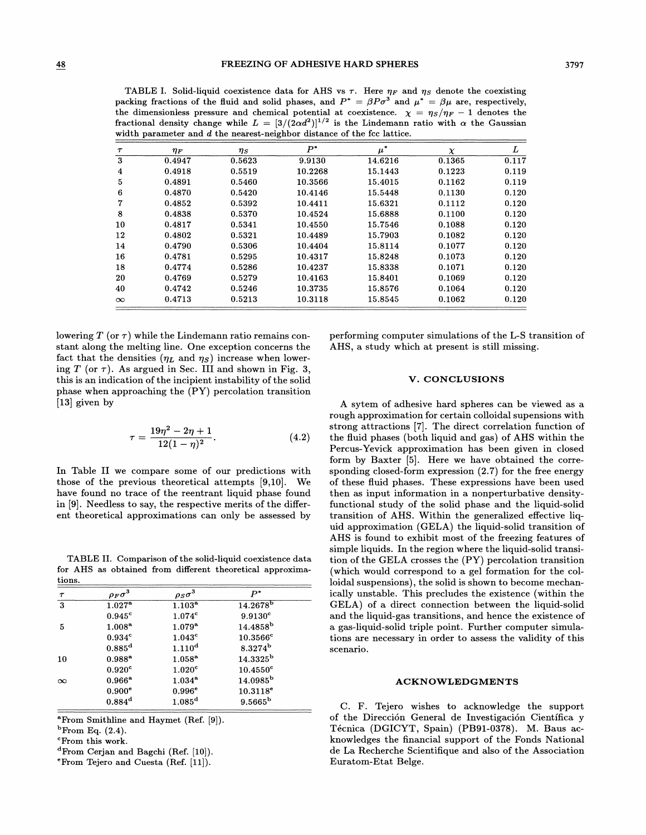TABLE I. Solid-liquid coexistence data for AHS vs  $\tau$ . Here  $\eta_F$  and  $\eta_S$  denote the coexisting packing fractions of the fluid and solid phases, and  $P^* = \beta P \sigma^3$  and  $\mu^* = \beta \mu$  are, respectively, the dimensionless pressure and chemical potential at coexistence.  $\chi = \eta_S/\eta_F - 1$  denotes the fractional density change while  $L = [3/(2\alpha d^2)]^{1/2}$  is the Lindemann ratio with  $\alpha$  the Gaussian width parameter and d the nearest-neighbor distance of the fcc lattice.

| $\tau$   | $\eta_F$ | $\eta_S$ | $P^*$   | $\mu^*$ | $\chi$ | L     |
|----------|----------|----------|---------|---------|--------|-------|
| 3        | 0.4947   | 0.5623   | 9.9130  | 14.6216 | 0.1365 | 0.117 |
| 4        | 0.4918   | 0.5519   | 10.2268 | 15.1443 | 0.1223 | 0.119 |
| 5        | 0.4891   | 0.5460   | 10.3566 | 15.4015 | 0.1162 | 0.119 |
| 6        | 0.4870   | 0.5420   | 10.4146 | 15.5448 | 0.1130 | 0.120 |
| 7        | 0.4852   | 0.5392   | 10.4411 | 15.6321 | 0.1112 | 0.120 |
| 8        | 0.4838   | 0.5370   | 10.4524 | 15.6888 | 0.1100 | 0.120 |
| 10       | 0.4817   | 0.5341   | 10.4550 | 15.7546 | 0.1088 | 0.120 |
| 12       | 0.4802   | 0.5321   | 10.4489 | 15.7903 | 0.1082 | 0.120 |
| 14       | 0.4790   | 0.5306   | 10.4404 | 15.8114 | 0.1077 | 0.120 |
| 16       | 0.4781   | 0.5295   | 10.4317 | 15.8248 | 0.1073 | 0.120 |
| 18       | 0.4774   | 0.5286   | 10.4237 | 15.8338 | 0.1071 | 0.120 |
| 20       | 0.4769   | 0.5279   | 10.4163 | 15.8401 | 0.1069 | 0.120 |
| 40       | 0.4742   | 0.5246   | 10.3735 | 15.8576 | 0.1064 | 0.120 |
| $\infty$ | 0.4713   | 0.5213   | 10.3118 | 15.8545 | 0.1062 | 0.120 |

lowering  $T$  (or  $\tau$ ) while the Lindemann ratio remains constant along the melting line. One exception concerns the fact that the densities  $(\eta_L \text{ and } \eta_S)$  increase when lowering T (or  $\tau$ ). As argued in Sec. III and shown in Fig. 3, this is an indication of the incipient instability of the solid phase when approaching the (PY) percolation transition [13] given by

$$
\tau = \frac{19\eta^2 - 2\eta + 1}{12(1 - \eta)^2}.
$$
 (4.2)

In Table II we compare some of our predictions with those of the previous theoretical attempts [9,10]. We have found no trace of the reentrant liquid phase found in [9]. Needless to say, the respective merits of the different theoretical approximations can only be assessed by

TABLE II. Comparison of the solid-liquid coexistence data for AHS as obtained from different theoretical approximations.

| $\tau$   | $\rho_F\sigma^3$   | $\rho_S\sigma^3$   | $P^*$                  |  |
|----------|--------------------|--------------------|------------------------|--|
| 3        | $1.027^{\rm a}$    | $1.103^{a}$        | $14.2678^{b}$          |  |
|          | $0.945^{\circ}$    | 1.074c             | $9.9130$ <sup>c</sup>  |  |
| 5        | $1.008^{\circ}$    | $1.079^{\rm a}$    | $14.4858^b$            |  |
|          | 0.934 <sup>c</sup> | 1.043 <sup>c</sup> | $10.3566$ <sup>c</sup> |  |
|          | $0.885^{\rm d}$    | $1.110^{d}$        | $8.3274^{\rm b}$       |  |
| 10       | $0.988^{a}$        | $1.058^{a}$        | $14.3325^{\rm b}$      |  |
|          | 0.920 <sup>c</sup> | 1.020 <sup>c</sup> | $10.4550$ <sup>c</sup> |  |
| $\infty$ | $0.966^{\rm a}$    | $1.034^{a}$        | 14.0985 <sup>b</sup>   |  |
|          | 0.900e             | 0.996e             | $10.3118^e$            |  |
|          | $0.884^d$          | 1.085 <sup>d</sup> | $9.5665^{\rm b}$       |  |
|          |                    |                    |                        |  |

<sup>a</sup> From Smithline and Haymet (Ref. [9]).

 $^{\rm b}$ From Eq.  $(2.4)$ .

<sup>2</sup>From this work.

<sup>d</sup>From Cerjan and Bagchi (Ref. [10]).

From Tejero and Cuesta (Ref. [11]).

performing computer simulations of the L-S transition of AHS, a study which at present is still missing.

### V. CONCLUSIONS

A sytem of adhesive hard spheres can be viewed as a rough approximation for certain colloidal supensions with strong attractions [7]. The direct correlation function of the fluid phases (both liquid and gas) of AHS within the Percus-Yevick approximation has been given in closed form by Baxter [5]. Here we have obtained the corresponding closed-form expression (2.7) for the free energy of these fluid. phases. These expressions have been used then as input information in a nonperturbative densityfunctional study of the solid phase and the liquid-solid transition of AHS. Within the generalized effective liquid approximation (GELA) the liquid-solid transition of AHS is found to exhibit most of the freezing features of simple liquids. In the region where the liquid-solid transition of the GELA crosses the (PY) percolation transition (which would correspond to a gel formation for the colloidal suspensions), the solid is shown to become mechanically unstable. This precludes the existence (within the GELA) of a direct connection between the liquid-solid and the liquid-gas transitions, and hence the existence of a gas-liquid-solid triple point. Further computer simulations are necessary in order to assess the validity of this scenario.

#### ACKNOWLEDGMENTS

C. F. Tejero wishes to acknowledge the support of the Direccion General de Investigacion Cientifica y Técnica (DGICYT, Spain) (PB91-0378). M. Baus acknowledges the financial support of the Fonds National de La Recherche Scientifique and also of the Association Euratom-Etat Beige.